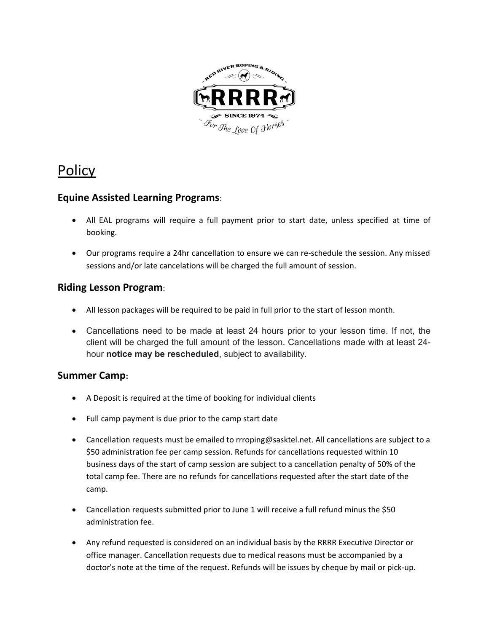

# Policy

### **Equine Assisted Learning Programs**:

- All EAL programs will require a full payment prior to start date, unless specified at time of booking.
- Our programs require a 24hr cancellation to ensure we can re-schedule the session. Any missed sessions and/or late cancelations will be charged the full amount of session.

#### **Riding Lesson Program**:

- All lesson packages will be required to be paid in full prior to the start of lesson month.
- Cancellations need to be made at least 24 hours prior to your lesson time. If not, the client will be charged the full amount of the lesson. Cancellations made with at least 24 hour **notice may be rescheduled**, subject to availability.

### **Summer Camp:**

- A Deposit is required at the time of booking for individual clients
- Full camp payment is due prior to the camp start date
- Cancellation requests must be emailed to rrroping@sasktel.net. All cancellations are subject to a \$50 administration fee per camp session. Refunds for cancellations requested within 10 business days of the start of camp session are subject to a cancellation penalty of 50% of the total camp fee. There are no refunds for cancellations requested after the start date of the camp.
- Cancellation requests submitted prior to June 1 will receive a full refund minus the \$50 administration fee.
- Any refund requested is considered on an individual basis by the RRRR Executive Director or office manager. Cancellation requests due to medical reasons must be accompanied by a doctor's note at the time of the request. Refunds will be issues by cheque by mail or pick-up.